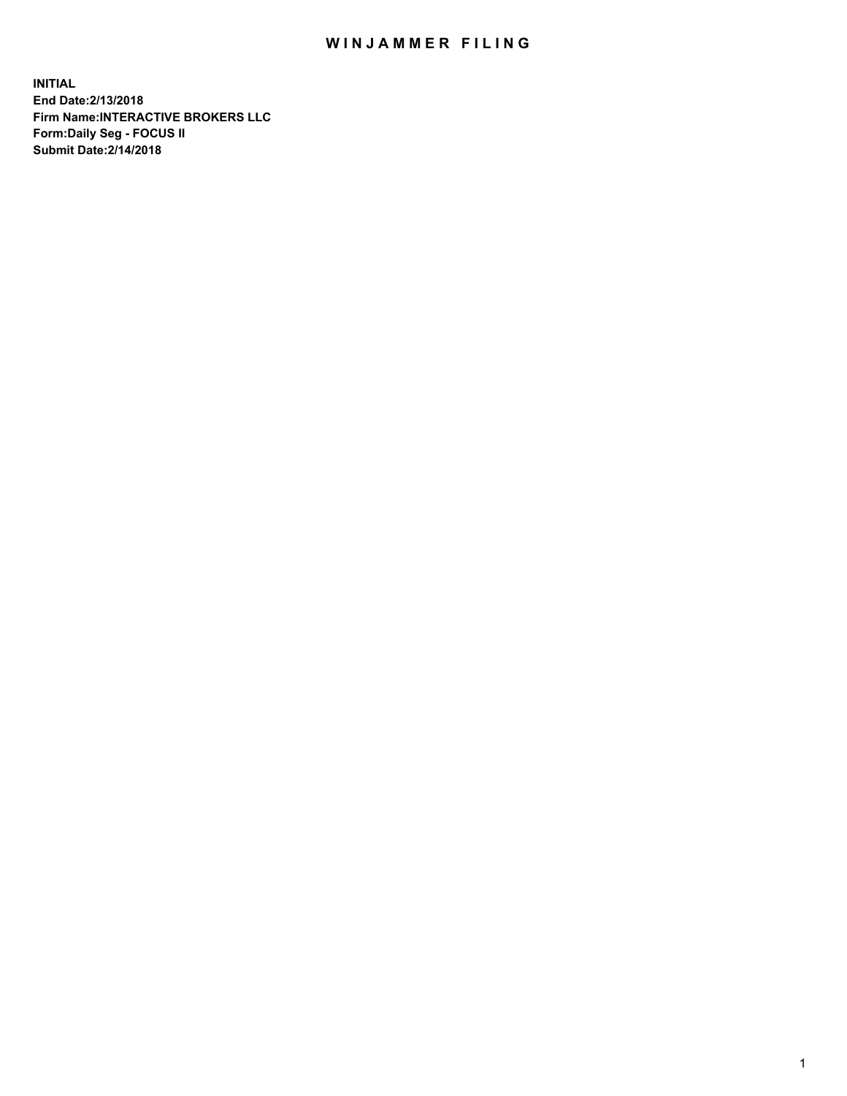## WIN JAMMER FILING

**INITIAL End Date:2/13/2018 Firm Name:INTERACTIVE BROKERS LLC Form:Daily Seg - FOCUS II Submit Date:2/14/2018**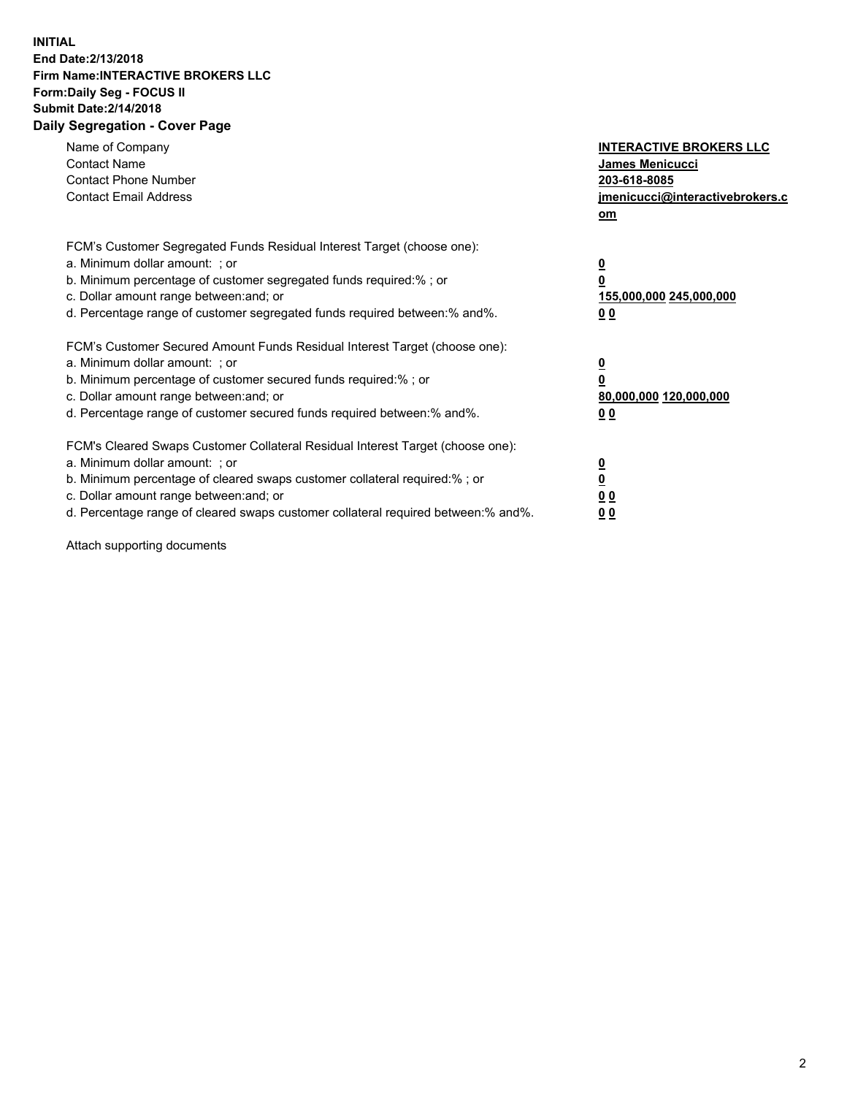## **INITIAL End Date:2/13/2018 Firm Name:INTERACTIVE BROKERS LLC Form:Daily Seg - FOCUS II Submit Date:2/14/2018 Daily Segregation - Cover Page**

| Name of Company<br><b>Contact Name</b><br><b>Contact Phone Number</b><br><b>Contact Email Address</b>                                                                                                                                                                                                                          | <b>INTERACTIVE BROKERS LLC</b><br><b>James Menicucci</b><br>203-618-8085<br>jmenicucci@interactivebrokers.c<br>om |
|--------------------------------------------------------------------------------------------------------------------------------------------------------------------------------------------------------------------------------------------------------------------------------------------------------------------------------|-------------------------------------------------------------------------------------------------------------------|
| FCM's Customer Segregated Funds Residual Interest Target (choose one):<br>a. Minimum dollar amount: ; or<br>b. Minimum percentage of customer segregated funds required:% ; or<br>c. Dollar amount range between: and; or<br>d. Percentage range of customer segregated funds required between: % and %.                       | $\overline{\mathbf{0}}$<br>0<br>155,000,000 245,000,000<br>00                                                     |
| FCM's Customer Secured Amount Funds Residual Interest Target (choose one):<br>a. Minimum dollar amount: ; or<br>b. Minimum percentage of customer secured funds required:%; or<br>c. Dollar amount range between: and; or<br>d. Percentage range of customer secured funds required between: % and %.                          | $\overline{\mathbf{0}}$<br>0<br>80,000,000 120,000,000<br>00                                                      |
| FCM's Cleared Swaps Customer Collateral Residual Interest Target (choose one):<br>a. Minimum dollar amount: ; or<br>b. Minimum percentage of cleared swaps customer collateral required:% ; or<br>c. Dollar amount range between: and; or<br>d. Percentage range of cleared swaps customer collateral required between:% and%. | $\overline{\mathbf{0}}$<br>$\overline{\mathbf{0}}$<br>00<br>0 <sub>0</sub>                                        |

Attach supporting documents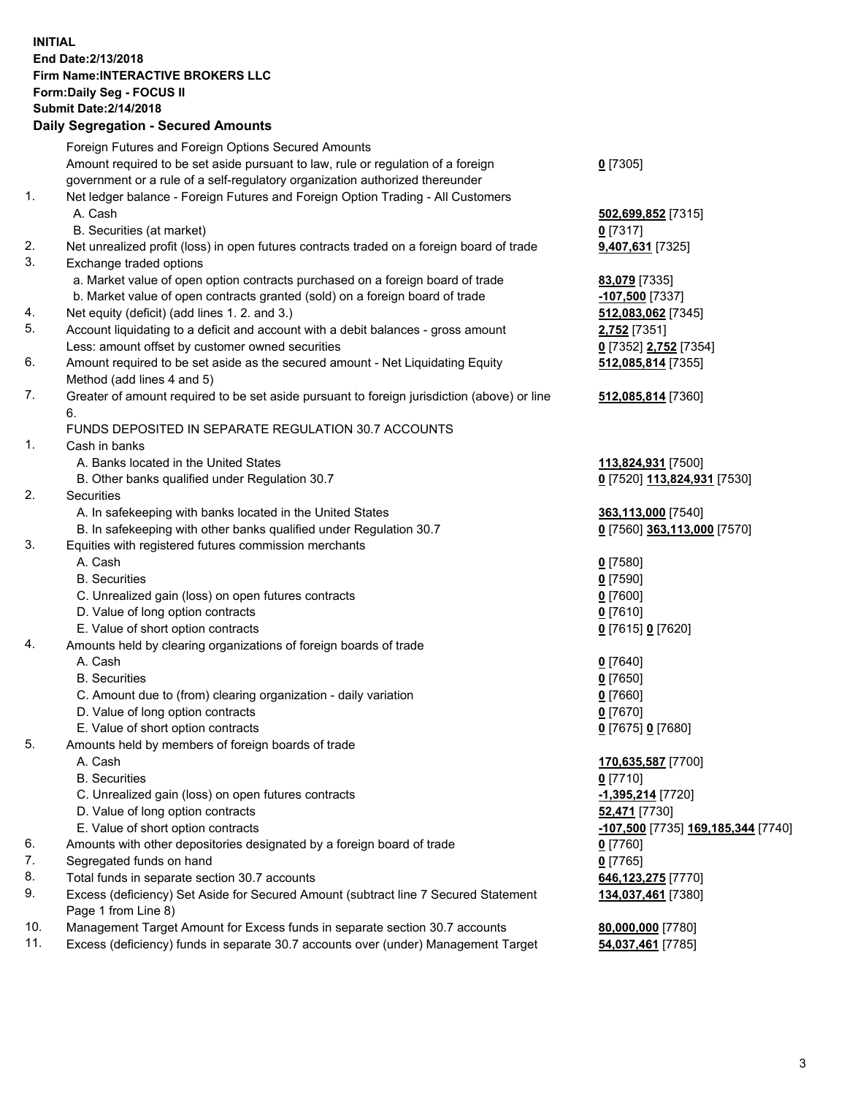## **INITIAL End Date:2/13/2018 Firm Name:INTERACTIVE BROKERS LLC Form:Daily Seg - FOCUS II Submit Date:2/14/2018 Daily Segregation - Secured Amounts**

|     | Dany Segregation - Secured Announts                                                                        |                                    |
|-----|------------------------------------------------------------------------------------------------------------|------------------------------------|
|     | Foreign Futures and Foreign Options Secured Amounts                                                        |                                    |
|     | Amount required to be set aside pursuant to law, rule or regulation of a foreign                           | $0$ [7305]                         |
|     | government or a rule of a self-regulatory organization authorized thereunder                               |                                    |
| 1.  | Net ledger balance - Foreign Futures and Foreign Option Trading - All Customers                            |                                    |
|     | A. Cash                                                                                                    | 502,699,852 [7315]                 |
|     | B. Securities (at market)                                                                                  | $0$ [7317]                         |
| 2.  | Net unrealized profit (loss) in open futures contracts traded on a foreign board of trade                  | 9,407,631 [7325]                   |
| 3.  | Exchange traded options                                                                                    |                                    |
|     | a. Market value of open option contracts purchased on a foreign board of trade                             | <b>83,079</b> [7335]               |
|     | b. Market value of open contracts granted (sold) on a foreign board of trade                               | -107,500 [7337]                    |
| 4.  | Net equity (deficit) (add lines 1.2. and 3.)                                                               | 512,083,062 [7345]                 |
| 5.  | Account liquidating to a deficit and account with a debit balances - gross amount                          | 2,752 [7351]                       |
|     | Less: amount offset by customer owned securities                                                           | 0 [7352] 2,752 [7354]              |
| 6.  | Amount required to be set aside as the secured amount - Net Liquidating Equity                             | 512,085,814 [7355]                 |
|     | Method (add lines 4 and 5)                                                                                 |                                    |
| 7.  | Greater of amount required to be set aside pursuant to foreign jurisdiction (above) or line                | 512,085,814 [7360]                 |
|     | 6.                                                                                                         |                                    |
|     | FUNDS DEPOSITED IN SEPARATE REGULATION 30.7 ACCOUNTS                                                       |                                    |
| 1.  | Cash in banks                                                                                              |                                    |
|     | A. Banks located in the United States                                                                      | 113,824,931 [7500]                 |
|     | B. Other banks qualified under Regulation 30.7                                                             | 0 [7520] 113,824,931 [7530]        |
| 2.  | Securities                                                                                                 |                                    |
|     | A. In safekeeping with banks located in the United States                                                  | 363,113,000 [7540]                 |
|     | B. In safekeeping with other banks qualified under Regulation 30.7                                         | 0 [7560] 363,113,000 [7570]        |
| 3.  | Equities with registered futures commission merchants                                                      |                                    |
|     | A. Cash                                                                                                    | $0$ [7580]                         |
|     | <b>B.</b> Securities                                                                                       | $0$ [7590]                         |
|     | C. Unrealized gain (loss) on open futures contracts                                                        | $0$ [7600]                         |
|     | D. Value of long option contracts                                                                          | $0$ [7610]                         |
|     | E. Value of short option contracts                                                                         | 0 [7615] 0 [7620]                  |
| 4.  | Amounts held by clearing organizations of foreign boards of trade                                          |                                    |
|     | A. Cash                                                                                                    | $0$ [7640]                         |
|     | <b>B.</b> Securities                                                                                       | $0$ [7650]                         |
|     | C. Amount due to (from) clearing organization - daily variation                                            | $0$ [7660]                         |
|     | D. Value of long option contracts                                                                          | $0$ [7670]                         |
|     | E. Value of short option contracts                                                                         | 0 [7675] 0 [7680]                  |
| 5.  | Amounts held by members of foreign boards of trade                                                         |                                    |
|     | A. Cash                                                                                                    | 170,635,587 [7700]                 |
|     | <b>B.</b> Securities                                                                                       | $0$ [7710]                         |
|     | C. Unrealized gain (loss) on open futures contracts                                                        | -1,395,214 [7720]                  |
|     | D. Value of long option contracts                                                                          | 52,471 [7730]                      |
|     | E. Value of short option contracts                                                                         | -107,500 [7735] 169,185,344 [7740] |
| 6.  | Amounts with other depositories designated by a foreign board of trade                                     | 0 [7760]                           |
| 7.  | Segregated funds on hand                                                                                   | $0$ [7765]                         |
| 8.  | Total funds in separate section 30.7 accounts                                                              | 646,123,275 [7770]                 |
| 9.  | Excess (deficiency) Set Aside for Secured Amount (subtract line 7 Secured Statement<br>Page 1 from Line 8) | 134,037,461 [7380]                 |
| 10. | Management Target Amount for Excess funds in separate section 30.7 accounts                                | 80,000,000 [7780]                  |
| 11. | Excess (deficiency) funds in separate 30.7 accounts over (under) Management Target                         | 54,037,461 [7785]                  |
|     |                                                                                                            |                                    |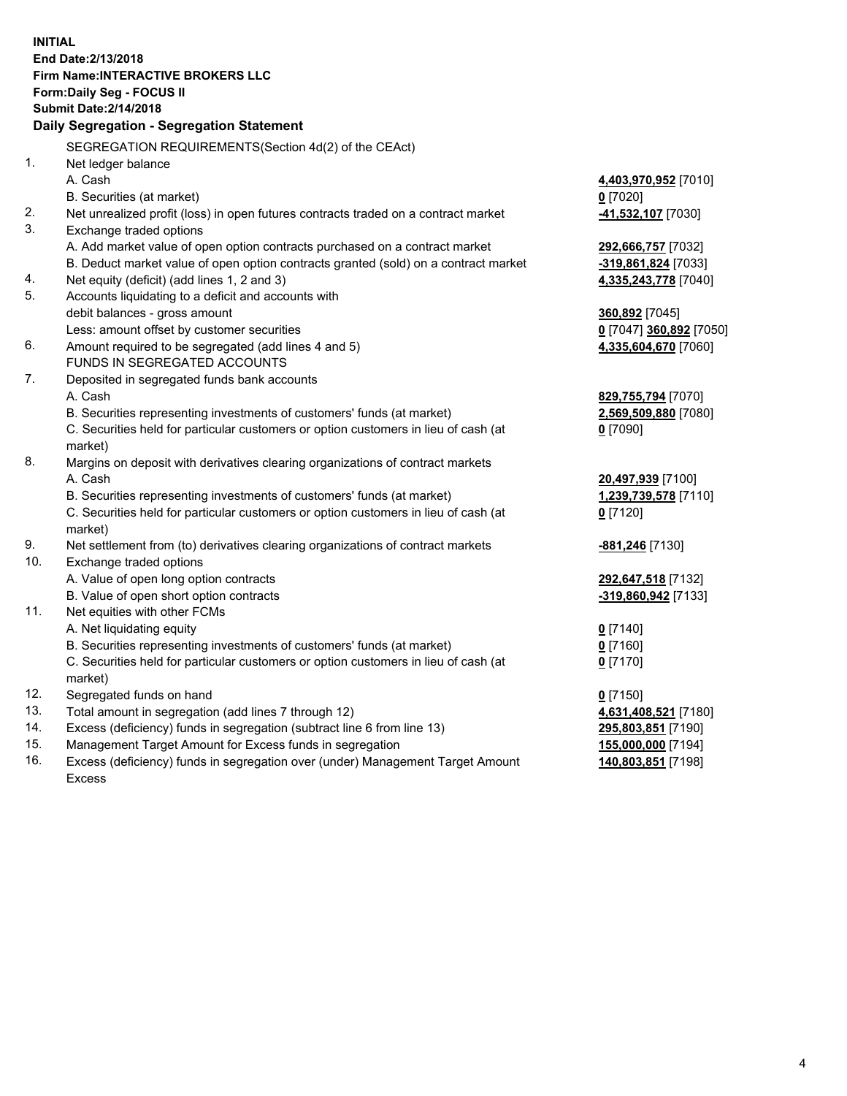**INITIAL End Date:2/13/2018 Firm Name:INTERACTIVE BROKERS LLC Form:Daily Seg - FOCUS II Submit Date:2/14/2018 Daily Segregation - Segregation Statement** SEGREGATION REQUIREMENTS(Section 4d(2) of the CEAct) 1. Net ledger balance A. Cash **4,403,970,952** [7010] B. Securities (at market) **0** [7020] 2. Net unrealized profit (loss) in open futures contracts traded on a contract market **-41,532,107** [7030] 3. Exchange traded options A. Add market value of open option contracts purchased on a contract market **292,666,757** [7032] B. Deduct market value of open option contracts granted (sold) on a contract market **-319,861,824** [7033] 4. Net equity (deficit) (add lines 1, 2 and 3) **4,335,243,778** [7040] 5. Accounts liquidating to a deficit and accounts with debit balances - gross amount **360,892** [7045] Less: amount offset by customer securities **0** [7047] **360,892** [7050] 6. Amount required to be segregated (add lines 4 and 5) **4,335,604,670** [7060] FUNDS IN SEGREGATED ACCOUNTS 7. Deposited in segregated funds bank accounts A. Cash **829,755,794** [7070] B. Securities representing investments of customers' funds (at market) **2,569,509,880** [7080] C. Securities held for particular customers or option customers in lieu of cash (at market) **0** [7090] 8. Margins on deposit with derivatives clearing organizations of contract markets A. Cash **20,497,939** [7100] B. Securities representing investments of customers' funds (at market) **1,239,739,578** [7110] C. Securities held for particular customers or option customers in lieu of cash (at market) **0** [7120] 9. Net settlement from (to) derivatives clearing organizations of contract markets **-881,246** [7130] 10. Exchange traded options A. Value of open long option contracts **292,647,518** [7132] B. Value of open short option contracts **-319,860,942** [7133] 11. Net equities with other FCMs A. Net liquidating equity **0** [7140] B. Securities representing investments of customers' funds (at market) **0** [7160] C. Securities held for particular customers or option customers in lieu of cash (at market) **0** [7170] 12. Segregated funds on hand **0** [7150] 13. Total amount in segregation (add lines 7 through 12) **4,631,408,521** [7180] 14. Excess (deficiency) funds in segregation (subtract line 6 from line 13) **295,803,851** [7190] 15. Management Target Amount for Excess funds in segregation **155,000,000** [7194] **140,803,851** [7198]

16. Excess (deficiency) funds in segregation over (under) Management Target Amount Excess